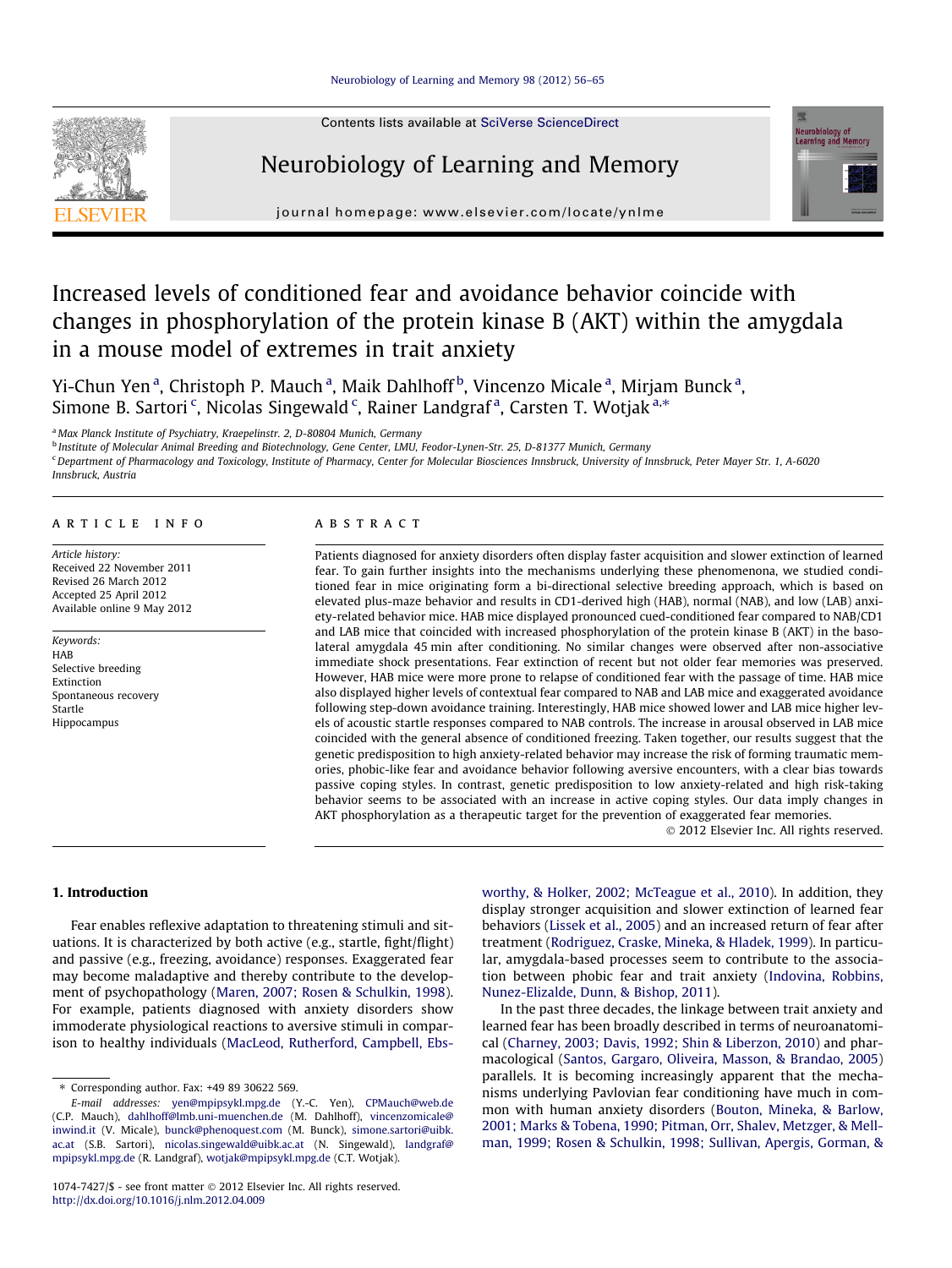

Contents lists available at [SciVerse ScienceDirect](http://www.sciencedirect.com/science/journal/10747427)

## Neurobiology of Learning and Memory



journal homepage: [www.elsevier.com/locate/ynlme](http://www.elsevier.com/locate/ynlme)

# Increased levels of conditioned fear and avoidance behavior coincide with changes in phosphorylation of the protein kinase B (AKT) within the amygdala in a mouse model of extremes in trait anxiety

Yi-Chun Yen<sup>a</sup>, Christoph P. Mauch<sup>a</sup>, Maik Dahlhoff<sup>b</sup>, Vincenzo Micale<sup>a</sup>, Mirjam Bunck<sup>a</sup>, Simone B. Sartori<sup>c</sup>, Nicolas Singewald<sup>c</sup>, Rainer Landgraf<sup>a</sup>, Carsten T. Wotjak<sup>a,\*</sup>

<sup>a</sup> Max Planck Institute of Psychiatry, Kraepelinstr. 2, D-80804 Munich, Germany

<sup>b</sup> Institute of Molecular Animal Breeding and Biotechnology, Gene Center, LMU, Feodor-Lynen-Str. 25, D-81377 Munich, Germany

<sup>c</sup> Department of Pharmacology and Toxicology, Institute of Pharmacy, Center for Molecular Biosciences Innsbruck, University of Innsbruck, Peter Mayer Str. 1, A-6020

Innsbruck, Austria

#### article info

Article history: Received 22 November 2011 Revised 26 March 2012 Accepted 25 April 2012 Available online 9 May 2012

Keywords: HAB Selective breeding Extinction Spontaneous recovery Startle Hippocampus

### ABSTRACT

Patients diagnosed for anxiety disorders often display faster acquisition and slower extinction of learned fear. To gain further insights into the mechanisms underlying these phenomenona, we studied conditioned fear in mice originating form a bi-directional selective breeding approach, which is based on elevated plus-maze behavior and results in CD1-derived high (HAB), normal (NAB), and low (LAB) anxiety-related behavior mice. HAB mice displayed pronounced cued-conditioned fear compared to NAB/CD1 and LAB mice that coincided with increased phosphorylation of the protein kinase B (AKT) in the basolateral amygdala 45 min after conditioning. No similar changes were observed after non-associative immediate shock presentations. Fear extinction of recent but not older fear memories was preserved. However, HAB mice were more prone to relapse of conditioned fear with the passage of time. HAB mice also displayed higher levels of contextual fear compared to NAB and LAB mice and exaggerated avoidance following step-down avoidance training. Interestingly, HAB mice showed lower and LAB mice higher levels of acoustic startle responses compared to NAB controls. The increase in arousal observed in LAB mice coincided with the general absence of conditioned freezing. Taken together, our results suggest that the genetic predisposition to high anxiety-related behavior may increase the risk of forming traumatic memories, phobic-like fear and avoidance behavior following aversive encounters, with a clear bias towards passive coping styles. In contrast, genetic predisposition to low anxiety-related and high risk-taking behavior seems to be associated with an increase in active coping styles. Our data imply changes in AKT phosphorylation as a therapeutic target for the prevention of exaggerated fear memories.

- 2012 Elsevier Inc. All rights reserved.

## 1. Introduction

Fear enables reflexive adaptation to threatening stimuli and situations. It is characterized by both active (e.g., startle, fight/flight) and passive (e.g., freezing, avoidance) responses. Exaggerated fear may become maladaptive and thereby contribute to the development of psychopathology [\(Maren, 2007; Rosen & Schulkin, 1998\)](#page--1-0). For example, patients diagnosed with anxiety disorders show immoderate physiological reactions to aversive stimuli in comparison to healthy individuals [\(MacLeod, Rutherford, Campbell, Ebs-](#page--1-0) [worthy, & Holker, 2002; McTeague et al., 2010](#page--1-0)). In addition, they display stronger acquisition and slower extinction of learned fear behaviors ([Lissek et al., 2005](#page--1-0)) and an increased return of fear after treatment ([Rodriguez, Craske, Mineka, & Hladek, 1999\)](#page--1-0). In particular, amygdala-based processes seem to contribute to the association between phobic fear and trait anxiety [\(Indovina, Robbins,](#page--1-0) [Nunez-Elizalde, Dunn, & Bishop, 2011\)](#page--1-0).

In the past three decades, the linkage between trait anxiety and learned fear has been broadly described in terms of neuroanatomical ([Charney, 2003; Davis, 1992; Shin & Liberzon, 2010](#page--1-0)) and pharmacological ([Santos, Gargaro, Oliveira, Masson, & Brandao, 2005\)](#page--1-0) parallels. It is becoming increasingly apparent that the mechanisms underlying Pavlovian fear conditioning have much in common with human anxiety disorders [\(Bouton, Mineka, & Barlow,](#page--1-0) [2001; Marks & Tobena, 1990; Pitman, Orr, Shalev, Metzger, & Mell](#page--1-0)[man, 1999; Rosen & Schulkin, 1998; Sullivan, Apergis, Gorman, &](#page--1-0)

<sup>⇑</sup> Corresponding author. Fax: +49 89 30622 569.

E-mail addresses: [yen@mpipsykl.mpg.de](mailto:yen@mpipsykl.mpg.de) (Y.-C. Yen), [CPMauch@web.de](mailto:CPMauch@web.de) (C.P. Mauch), [dahlhoff@lmb.uni-muenchen.de](mailto:dahlhoff@lmb.uni-muenchen.de) (M. Dahlhoff), [vincenzomicale@](mailto:vincenzomicale@inwind.it) [inwind.it](mailto:vincenzomicale@inwind.it) (V. Micale), [bunck@phenoquest.com](mailto:bunck@phenoquest.com) (M. Bunck), [simone.sartori@uibk.](mailto:simone.sartori@uibk.ac.at) [ac.at](mailto:simone.sartori@uibk.ac.at) (S.B. Sartori), [nicolas.singewald@uibk.ac.at](mailto:nicolas.singewald@uibk.ac.at) (N. Singewald), [landgraf@](mailto:landgraf@mpipsykl.mpg.de) [mpipsykl.mpg.de](mailto:landgraf@mpipsykl.mpg.de) (R. Landgraf), [wotjak@mpipsykl.mpg.de](mailto:wotjak@mpipsykl.mpg.de) (C.T. Wotjak).

<sup>1074-7427/\$ -</sup> see front matter © 2012 Elsevier Inc. All rights reserved. <http://dx.doi.org/10.1016/j.nlm.2012.04.009>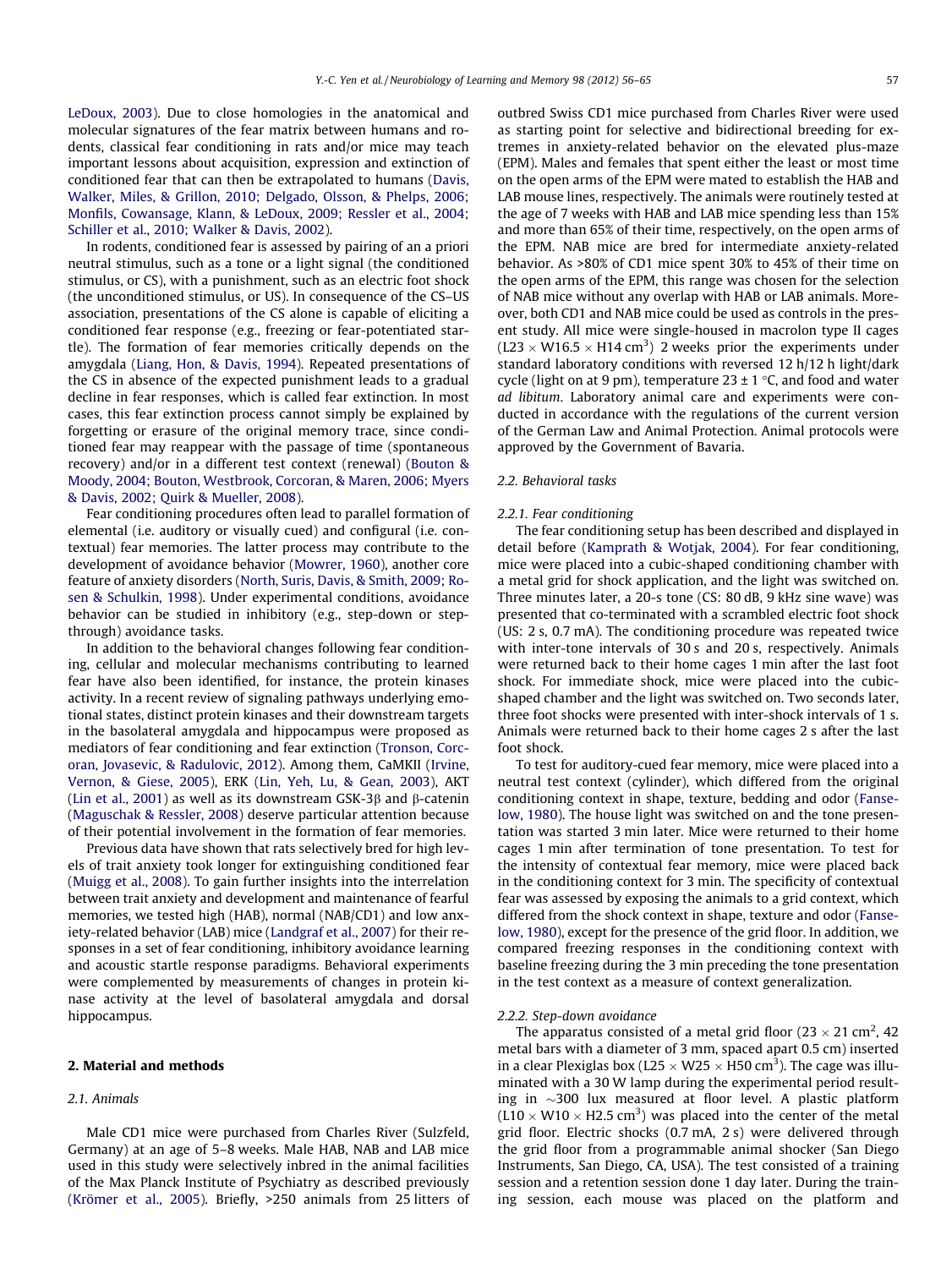[LeDoux, 2003\)](#page--1-0). Due to close homologies in the anatomical and molecular signatures of the fear matrix between humans and rodents, classical fear conditioning in rats and/or mice may teach important lessons about acquisition, expression and extinction of conditioned fear that can then be extrapolated to humans [\(Davis,](#page--1-0) [Walker, Miles, & Grillon, 2010; Delgado, Olsson, & Phelps, 2006;](#page--1-0) [Monfils, Cowansage, Klann, & LeDoux, 2009; Ressler et al., 2004;](#page--1-0) [Schiller et al., 2010; Walker & Davis, 2002](#page--1-0)).

In rodents, conditioned fear is assessed by pairing of an a priori neutral stimulus, such as a tone or a light signal (the conditioned stimulus, or CS), with a punishment, such as an electric foot shock (the unconditioned stimulus, or US). In consequence of the CS–US association, presentations of the CS alone is capable of eliciting a conditioned fear response (e.g., freezing or fear-potentiated startle). The formation of fear memories critically depends on the amygdala [\(Liang, Hon, & Davis, 1994](#page--1-0)). Repeated presentations of the CS in absence of the expected punishment leads to a gradual decline in fear responses, which is called fear extinction. In most cases, this fear extinction process cannot simply be explained by forgetting or erasure of the original memory trace, since conditioned fear may reappear with the passage of time (spontaneous recovery) and/or in a different test context (renewal) [\(Bouton &](#page--1-0) [Moody, 2004; Bouton, Westbrook, Corcoran, & Maren, 2006; Myers](#page--1-0) [& Davis, 2002; Quirk & Mueller, 2008](#page--1-0)).

Fear conditioning procedures often lead to parallel formation of elemental (i.e. auditory or visually cued) and configural (i.e. contextual) fear memories. The latter process may contribute to the development of avoidance behavior [\(Mowrer, 1960\)](#page--1-0), another core feature of anxiety disorders [\(North, Suris, Davis, & Smith, 2009; Ro](#page--1-0)[sen & Schulkin, 1998\)](#page--1-0). Under experimental conditions, avoidance behavior can be studied in inhibitory (e.g., step-down or stepthrough) avoidance tasks.

In addition to the behavioral changes following fear conditioning, cellular and molecular mechanisms contributing to learned fear have also been identified, for instance, the protein kinases activity. In a recent review of signaling pathways underlying emotional states, distinct protein kinases and their downstream targets in the basolateral amygdala and hippocampus were proposed as mediators of fear conditioning and fear extinction [\(Tronson, Corc](#page--1-0)[oran, Jovasevic, & Radulovic, 2012\)](#page--1-0). Among them, CaMKII ([Irvine,](#page--1-0) [Vernon, & Giese, 2005](#page--1-0)), ERK [\(Lin, Yeh, Lu, & Gean, 2003](#page--1-0)), AKT ([Lin et al., 2001](#page--1-0)) as well as its downstream GSK-3 $\beta$  and  $\beta$ -catenin ([Maguschak & Ressler, 2008](#page--1-0)) deserve particular attention because of their potential involvement in the formation of fear memories.

Previous data have shown that rats selectively bred for high levels of trait anxiety took longer for extinguishing conditioned fear ([Muigg et al., 2008](#page--1-0)). To gain further insights into the interrelation between trait anxiety and development and maintenance of fearful memories, we tested high (HAB), normal (NAB/CD1) and low anxiety-related behavior (LAB) mice [\(Landgraf et al., 2007\)](#page--1-0) for their responses in a set of fear conditioning, inhibitory avoidance learning and acoustic startle response paradigms. Behavioral experiments were complemented by measurements of changes in protein kinase activity at the level of basolateral amygdala and dorsal hippocampus.

#### 2. Material and methods

#### 2.1. Animals

Male CD1 mice were purchased from Charles River (Sulzfeld, Germany) at an age of 5–8 weeks. Male HAB, NAB and LAB mice used in this study were selectively inbred in the animal facilities of the Max Planck Institute of Psychiatry as described previously ([Krömer et al., 2005](#page--1-0)). Briefly, >250 animals from 25 litters of outbred Swiss CD1 mice purchased from Charles River were used as starting point for selective and bidirectional breeding for extremes in anxiety-related behavior on the elevated plus-maze (EPM). Males and females that spent either the least or most time on the open arms of the EPM were mated to establish the HAB and LAB mouse lines, respectively. The animals were routinely tested at the age of 7 weeks with HAB and LAB mice spending less than 15% and more than 65% of their time, respectively, on the open arms of the EPM. NAB mice are bred for intermediate anxiety-related behavior. As >80% of CD1 mice spent 30% to 45% of their time on the open arms of the EPM, this range was chosen for the selection of NAB mice without any overlap with HAB or LAB animals. Moreover, both CD1 and NAB mice could be used as controls in the present study. All mice were single-housed in macrolon type II cages  $(L23 \times W16.5 \times H14 \text{ cm}^3)$  2 weeks prior the experiments under standard laboratory conditions with reversed 12 h/12 h light/dark cycle (light on at 9 pm), temperature  $23 \pm 1$  °C, and food and water ad libitum. Laboratory animal care and experiments were conducted in accordance with the regulations of the current version of the German Law and Animal Protection. Animal protocols were approved by the Government of Bavaria.

#### 2.2. Behavioral tasks

#### 2.2.1. Fear conditioning

The fear conditioning setup has been described and displayed in detail before [\(Kamprath & Wotjak, 2004](#page--1-0)). For fear conditioning, mice were placed into a cubic-shaped conditioning chamber with a metal grid for shock application, and the light was switched on. Three minutes later, a 20-s tone (CS: 80 dB, 9 kHz sine wave) was presented that co-terminated with a scrambled electric foot shock (US: 2 s, 0.7 mA). The conditioning procedure was repeated twice with inter-tone intervals of 30 s and 20 s, respectively. Animals were returned back to their home cages 1 min after the last foot shock. For immediate shock, mice were placed into the cubicshaped chamber and the light was switched on. Two seconds later, three foot shocks were presented with inter-shock intervals of 1 s. Animals were returned back to their home cages 2 s after the last foot shock.

To test for auditory-cued fear memory, mice were placed into a neutral test context (cylinder), which differed from the original conditioning context in shape, texture, bedding and odor ([Fanse](#page--1-0)[low, 1980\)](#page--1-0). The house light was switched on and the tone presentation was started 3 min later. Mice were returned to their home cages 1 min after termination of tone presentation. To test for the intensity of contextual fear memory, mice were placed back in the conditioning context for 3 min. The specificity of contextual fear was assessed by exposing the animals to a grid context, which differed from the shock context in shape, texture and odor ([Fanse](#page--1-0)[low, 1980](#page--1-0)), except for the presence of the grid floor. In addition, we compared freezing responses in the conditioning context with baseline freezing during the 3 min preceding the tone presentation in the test context as a measure of context generalization.

#### 2.2.2. Step-down avoidance

The apparatus consisted of a metal grid floor (23  $\times$  21 cm<sup>2</sup>, 42 metal bars with a diameter of 3 mm, spaced apart 0.5 cm) inserted in a clear Plexiglas box (L25  $\times$  W25  $\times$  H50 cm<sup>3</sup>). The cage was illuminated with a 30 W lamp during the experimental period resulting in  $\sim$ 300 lux measured at floor level. A plastic platform  $(L10 \times W10 \times H2.5 \text{ cm}^3)$  was placed into the center of the metal grid floor. Electric shocks (0.7 mA, 2 s) were delivered through the grid floor from a programmable animal shocker (San Diego Instruments, San Diego, CA, USA). The test consisted of a training session and a retention session done 1 day later. During the training session, each mouse was placed on the platform and